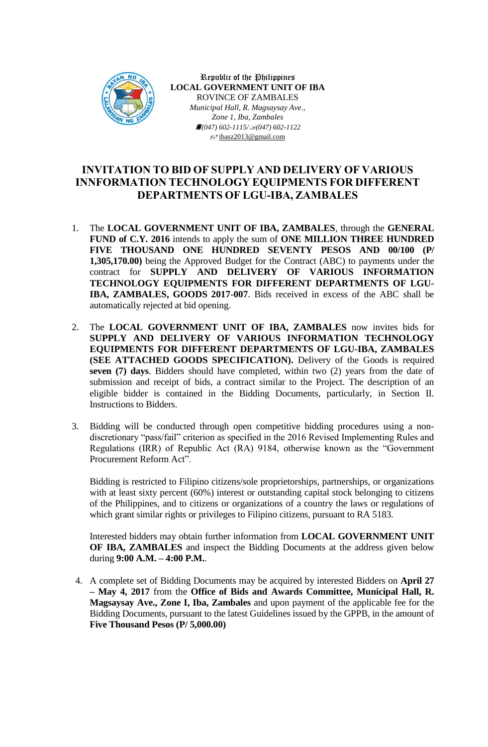

Republic of the Philippines **LOCAL GOVERNMENT UNIT OF IBA** ROVINCE OF ZAMBALES *Municipal Hall, R. Magsaysay Ave., Zone 1, Iba, Zambales (047) 602-1115/(047) 602-1122* ibasz2013@gmail.com

## **INVITATION TO BID OF SUPPLY AND DELIVERY OF VARIOUS INNFORMATION TECHNOLOGY EQUIPMENTS FOR DIFFERENT DEPARTMENTS OF LGU-IBA, ZAMBALES**

- 1. The **LOCAL GOVERNMENT UNIT OF IBA, ZAMBALES**, through the **GENERAL FUND of C.Y. 2016** intends to apply the sum of **ONE MILLION THREE HUNDRED FIVE THOUSAND ONE HUNDRED SEVENTY PESOS AND 00/100 (P/ 1,305,170.00)** being the Approved Budget for the Contract (ABC) to payments under the contract for **SUPPLY AND DELIVERY OF VARIOUS INFORMATION TECHNOLOGY EQUIPMENTS FOR DIFFERENT DEPARTMENTS OF LGU-IBA, ZAMBALES, GOODS 2017-007**. Bids received in excess of the ABC shall be automatically rejected at bid opening.
- 2. The **LOCAL GOVERNMENT UNIT OF IBA, ZAMBALES** now invites bids for **SUPPLY AND DELIVERY OF VARIOUS INFORMATION TECHNOLOGY EQUIPMENTS FOR DIFFERENT DEPARTMENTS OF LGU-IBA, ZAMBALES (SEE ATTACHED GOODS SPECIFICATION).** Delivery of the Goods is required **seven (7) days**. Bidders should have completed, within two (2) years from the date of submission and receipt of bids, a contract similar to the Project. The description of an eligible bidder is contained in the Bidding Documents, particularly, in Section II. Instructions to Bidders.
- 3. Bidding will be conducted through open competitive bidding procedures using a nondiscretionary "pass/fail" criterion as specified in the 2016 Revised Implementing Rules and Regulations (IRR) of Republic Act (RA) 9184, otherwise known as the "Government Procurement Reform Act".

Bidding is restricted to Filipino citizens/sole proprietorships, partnerships, or organizations with at least sixty percent (60%) interest or outstanding capital stock belonging to citizens of the Philippines, and to citizens or organizations of a country the laws or regulations of which grant similar rights or privileges to Filipino citizens, pursuant to RA 5183.

Interested bidders may obtain further information from **LOCAL GOVERNMENT UNIT OF IBA, ZAMBALES** and inspect the Bidding Documents at the address given below during **9:00 A.M. – 4:00 P.M.**.

4. A complete set of Bidding Documents may be acquired by interested Bidders on **April 27 – May 4, 2017** from the **Office of Bids and Awards Committee, Municipal Hall, R. Magsaysay Ave., Zone I, Iba, Zambales** and upon payment of the applicable fee for the Bidding Documents, pursuant to the latest Guidelines issued by the GPPB, in the amount of **Five Thousand Pesos (P/ 5,000.00)**